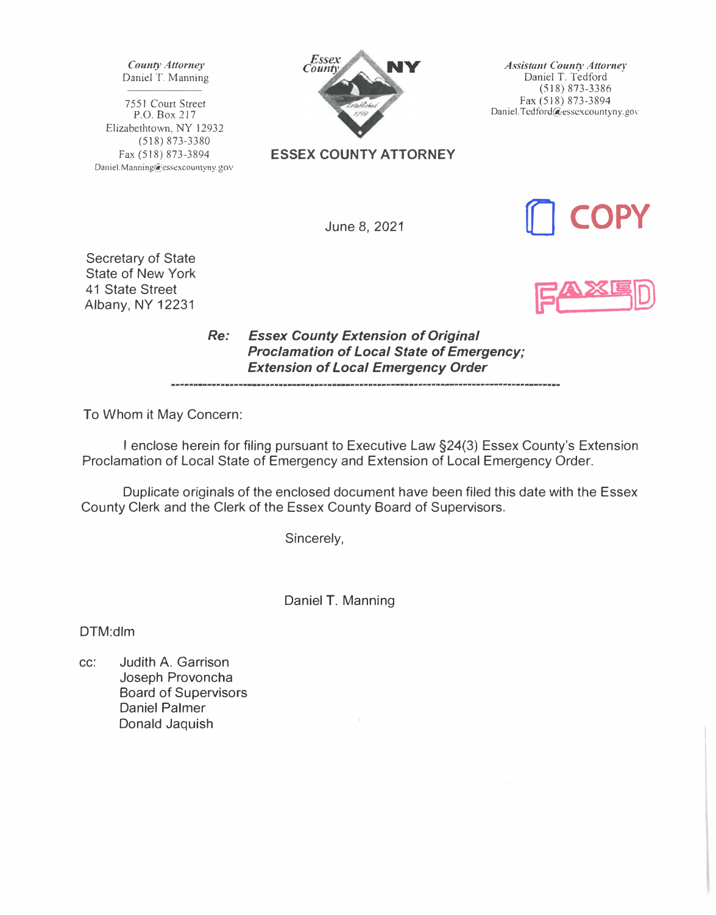*County Attorney*  Daniel T. Manning

7551 Court *Street* P.O. Box 217 Elizabethtown, NY 12932 (518) 873-3380 Fax (518) 873-3894 Daniel.Manning@essexcountyny.gov



**ESSEX COUNTY ATTORNEY** 

*Assistant Countv Attorner*  Daniel T. Tedford (518) 873-3386 Fax (518) 873-3894 Daniel.Tcdford@esscxcountyny.gov

June 8, 2021



Secretary of State State of New York 41 State Street Albany, NY 12231

*Re: Essex County Extension of Original Proclamation of Local State of Emergency; Extension of Local Emergency Order* 

To Whom it May Concern:

I enclose herein for filing pursuant to Executive Law §24(3) Essex County's Extension Proclamation of Local State of Emergency and Extension of Local Emergency Order.

Duplicate originals of the enclosed document have been filed this date with the Essex County Clerk and the Clerk of the Essex County Board of Supervisors.

Sincerely,

Daniel T. Manning

DTM:dlm

cc: Judith A. Garrison Joseph Provoncha Board of Supervisors Daniel Palmer Donald Jaquish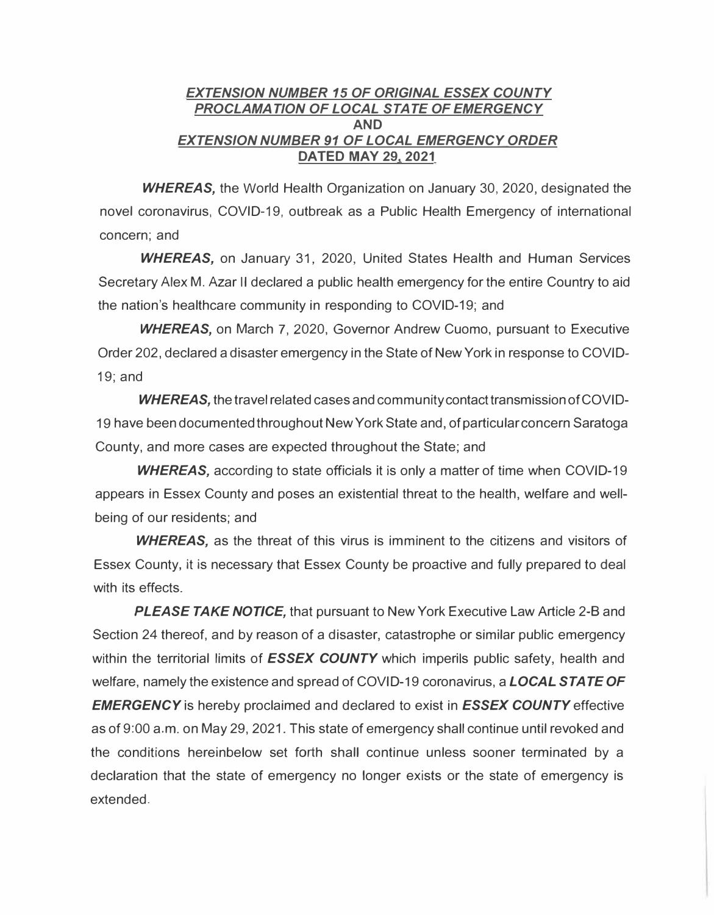## *EXTENSION NUMBER 15 OF ORIGINAL ESSEX COUNTY PROCLAMATION OF LOCAL STATE OF EMERGENCY*  **AND**  *EXTENSION NUMBER 91 OF LOCAL EMERGENCY ORDER*  **DATED MAY 29, 2021**

*WHEREAS,* the World Health Organization on January 30, 2020, designated the novel coronavirus, COVID-19, outbreak as a Public Health Emergency of international concern; and

*WHEREAS,* on January 31, 2020, United States Health and Human Services Secretary Alex M. Azar II declared a public health emergency for the entire Country to aid the nation's healthcare community in responding to COVID-19; and

*WHEREAS,* on March 7, 2020, Governor Andrew Cuomo, pursuant to Executive Order 202, declared a disaster emergency in the State of New York in response to COVID-19; and

*WHEREAS,* the travel related cases and community contact transmission of COVID-19 have been documented throughout New York State and, of particular concern Saratoga County, and more cases are expected throughout the State; and

**WHEREAS,** according to state officials it is only a matter of time when COVID-19 appears in Essex County and poses an existential threat to the health, welfare and wellbeing of our residents; and

*WHEREAS,* as the threat of this virus is imminent to the citizens and visitors of Essex County, it is necessary that Essex County be proactive and fully prepared to deal with its effects.

*PLEASE TAKE NOTICE,* that pursuant to New York Executive Law Article 2-B and Section 24 thereof, and by reason of a disaster, catastrophe or similar public emergency within the territorial limits of *ESSEX COUNTY* which imperils public safety, health and welfare, namely the existence and spread of COVID-19 coronavirus, a *LOCAL STATE OF EMERGENCY* is hereby proclaimed and declared to exist in *ESSEX COUNTY* effective as of 9:00 a.m. on May 29, 2021. This state of emergency shall continue until revoked and the conditions hereinbelow set forth shall continue unless sooner terminated by a declaration that the state of emergency no longer exists or the state of emergency is extended.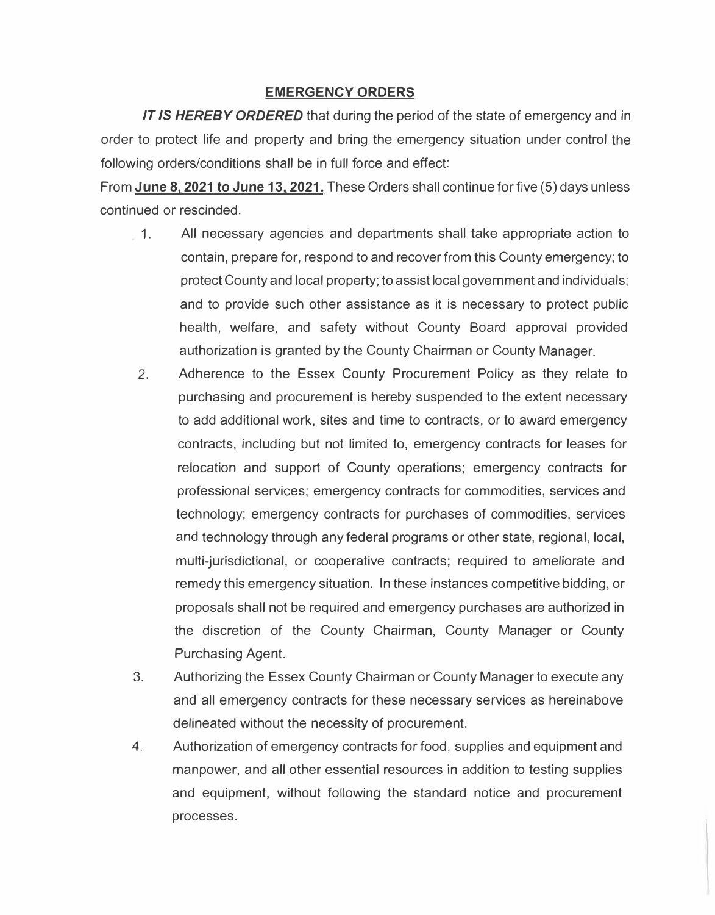## **EMERGENCY ORDERS**

*IT IS HEREBY ORDERED* that during the period of the state of emergency and in order to protect life and property and bring the emergency situation under control the following orders/conditions shall be in full force and effect:

From **June 81 2021 to June 13, 2021.** These Orders shall continue for five (5) days unless continued or rescinded.

- 1. All necessary agencies and departments shall take appropriate action to contain, prepare for, respond to and recover from this County emergency; to protect County and local property; to assist local government and individuals; and to provide such other assistance as it is necessary to protect public health, welfare, and safety without County Board approval provided authorization is granted by the County Chairman or County Manager.
- 2. Adherence to the Essex County Procurement Policy as they relate to purchasing and procurement is hereby suspended to the extent necessary to add additional work, sites and time to contracts, or to award emergency contracts, including but not limited to, emergency contracts for leases for relocation and support of County operations; emergency contracts for professional services; emergency contracts for commodities, services and technology; emergency contracts for purchases of commodities, services and technology through any federal programs or other state, regional, local, multi-jurisdictional, or cooperative contracts; required to ameliorate and remedy this emergency situation. In these instances competitive bidding, or proposals shall not be required and emergency purchases are authorized in the discretion of the County Chairman, County Manager or County Purchasing Agent.
- 3. Authorizing the Essex County Chairman or County Manager to execute any and all emergency contracts for these necessary services as hereinabove delineated without the necessity of procurement.
- 4. Authorization of emergency contracts for food, supplies and equipment and manpower, and all other essential resources in addition to testing supplies and equipment, without following the standard notice and procurement processes.